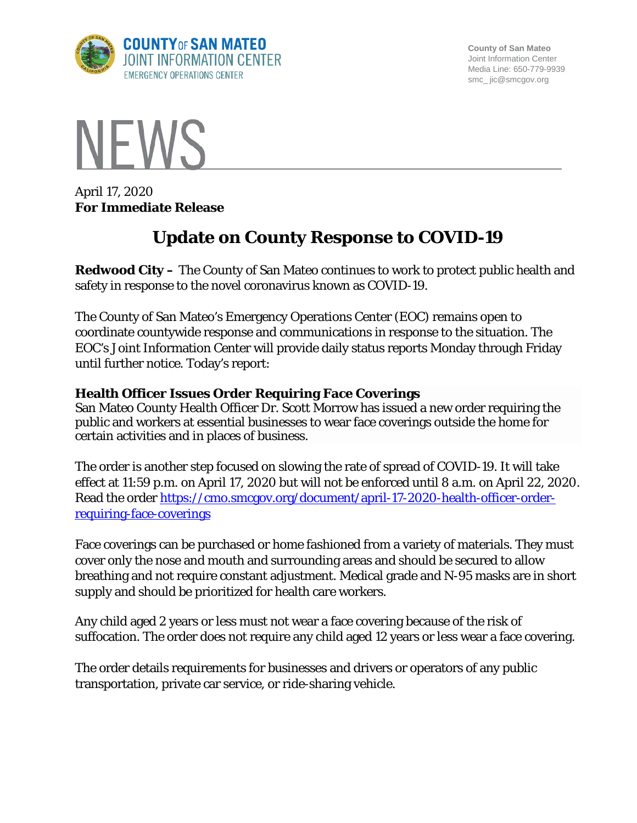

**County of San Mateo** Joint Information Center Media Line: 650-779-9939 smc\_ jic@smcgov.org



April 17, 2020 **For Immediate Release**

# **Update on County Response to COVID-19**

**Redwood City –** The County of San Mateo continues to work to protect public health and safety in response to the novel coronavirus known as COVID-19.

The County of San Mateo's Emergency Operations Center (EOC) remains open to coordinate countywide response and communications in response to the situation. The EOC's Joint Information Center will provide daily status reports Monday through Friday until further notice. Today's report:

## **Health Officer Issues Order Requiring Face Coverings**

San Mateo County Health Officer Dr. Scott Morrow has issued a new order requiring the public and workers at essential businesses to wear face coverings outside the home for certain activities and in places of business.

The order is another step focused on slowing the rate of spread of COVID-19. It will take effect at 11:59 p.m. on April 17, 2020 but will not be enforced until 8 a.m. on April 22, 2020. Read the order [https://cmo.smcgov.org/document/april-17-2020-health-officer-order](https://cmo.smcgov.org/document/april-17-2020-health-officer-order-requiring-face-coverings)[requiring-face-coverings](https://cmo.smcgov.org/document/april-17-2020-health-officer-order-requiring-face-coverings)

Face coverings can be purchased or home fashioned from a variety of materials. They must cover only the nose and mouth and surrounding areas and should be secured to allow breathing and not require constant adjustment. Medical grade and N-95 masks are in short supply and should be prioritized for health care workers.

Any child aged 2 years or less must not wear a face covering because of the risk of suffocation. The order does not require any child aged 12 years or less wear a face covering.

The order details requirements for businesses and drivers or operators of any public transportation, private car service, or ride-sharing vehicle.